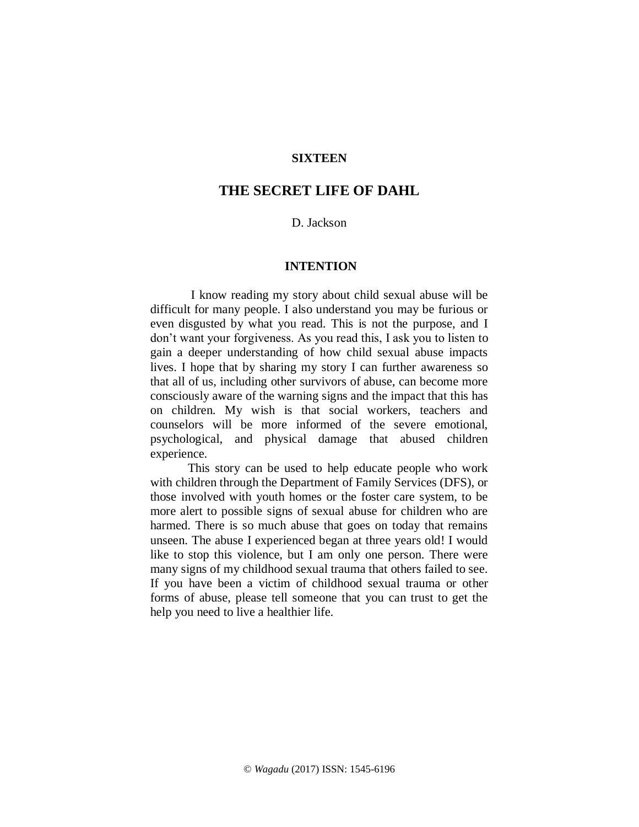# **SIXTEEN**

# **THE SECRET LIFE OF DAHL**

# D. Jackson

#### **INTENTION**

I know reading my story about child sexual abuse will be difficult for many people. I also understand you may be furious or even disgusted by what you read. This is not the purpose, and I don't want your forgiveness. As you read this, I ask you to listen to gain a deeper understanding of how child sexual abuse impacts lives. I hope that by sharing my story I can further awareness so that all of us, including other survivors of abuse, can become more consciously aware of the warning signs and the impact that this has on children. My wish is that social workers, teachers and counselors will be more informed of the severe emotional, psychological, and physical damage that abused children experience.

This story can be used to help educate people who work with children through the Department of Family Services (DFS), or those involved with youth homes or the foster care system, to be more alert to possible signs of sexual abuse for children who are harmed. There is so much abuse that goes on today that remains unseen. The abuse I experienced began at three years old! I would like to stop this violence, but I am only one person. There were many signs of my childhood sexual trauma that others failed to see. If you have been a victim of childhood sexual trauma or other forms of abuse, please tell someone that you can trust to get the help you need to live a healthier life.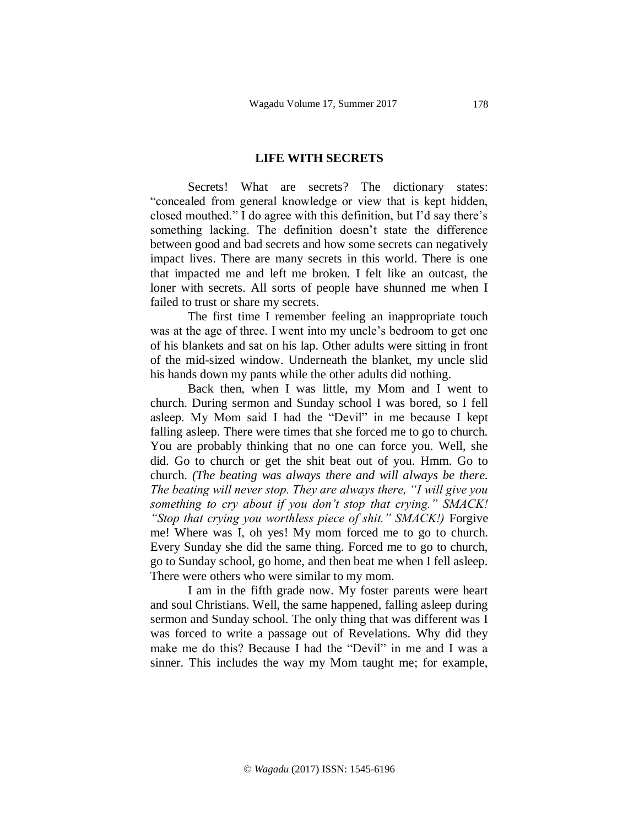#### **LIFE WITH SECRETS**

Secrets! What are secrets? The dictionary states: "concealed from general knowledge or view that is kept hidden, closed mouthed." I do agree with this definition, but I'd say there's something lacking. The definition doesn't state the difference between good and bad secrets and how some secrets can negatively impact lives. There are many secrets in this world. There is one that impacted me and left me broken. I felt like an outcast, the loner with secrets. All sorts of people have shunned me when I failed to trust or share my secrets.

The first time I remember feeling an inappropriate touch was at the age of three. I went into my uncle's bedroom to get one of his blankets and sat on his lap. Other adults were sitting in front of the mid-sized window. Underneath the blanket, my uncle slid his hands down my pants while the other adults did nothing.

Back then, when I was little, my Mom and I went to church. During sermon and Sunday school I was bored, so I fell asleep. My Mom said I had the "Devil" in me because I kept falling asleep. There were times that she forced me to go to church. You are probably thinking that no one can force you. Well, she did. Go to church or get the shit beat out of you. Hmm. Go to church. *(The beating was always there and will always be there. The beating will never stop. They are always there, "I will give you something to cry about if you don't stop that crying." SMACK! "Stop that crying you worthless piece of shit." SMACK!)* Forgive me! Where was I, oh yes! My mom forced me to go to church. Every Sunday she did the same thing. Forced me to go to church, go to Sunday school, go home, and then beat me when I fell asleep. There were others who were similar to my mom.

I am in the fifth grade now. My foster parents were heart and soul Christians. Well, the same happened, falling asleep during sermon and Sunday school. The only thing that was different was I was forced to write a passage out of Revelations. Why did they make me do this? Because I had the "Devil" in me and I was a sinner. This includes the way my Mom taught me; for example,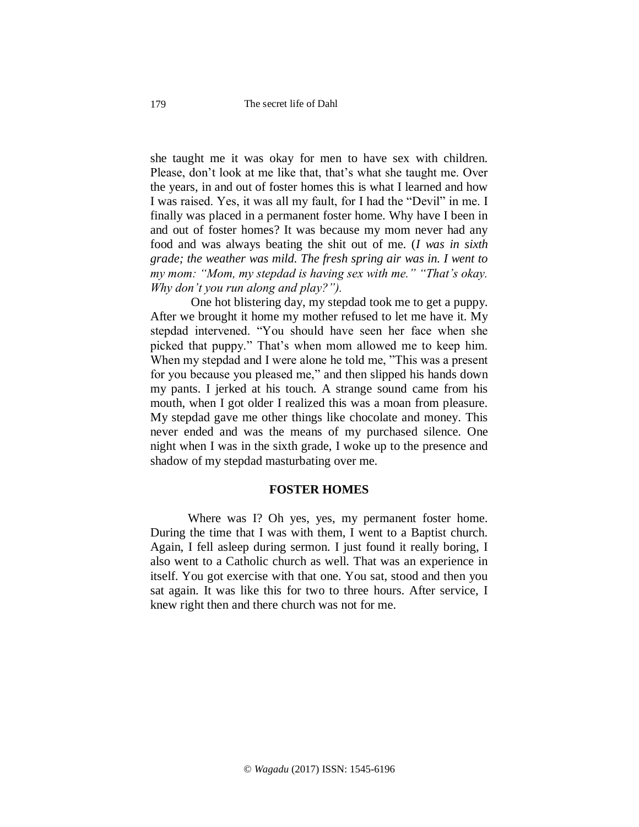she taught me it was okay for men to have sex with children. Please, don't look at me like that, that's what she taught me. Over the years, in and out of foster homes this is what I learned and how I was raised. Yes, it was all my fault, for I had the "Devil" in me. I finally was placed in a permanent foster home. Why have I been in and out of foster homes? It was because my mom never had any food and was always beating the shit out of me. (*I was in sixth grade; the weather was mild. The fresh spring air was in. I went to my mom: "Mom, my stepdad is having sex with me." "That's okay. Why don't you run along and play?").*

One hot blistering day, my stepdad took me to get a puppy. After we brought it home my mother refused to let me have it. My stepdad intervened. "You should have seen her face when she picked that puppy." That's when mom allowed me to keep him. When my stepdad and I were alone he told me, "This was a present for you because you pleased me," and then slipped his hands down my pants. I jerked at his touch. A strange sound came from his mouth, when I got older I realized this was a moan from pleasure. My stepdad gave me other things like chocolate and money. This never ended and was the means of my purchased silence. One night when I was in the sixth grade, I woke up to the presence and shadow of my stepdad masturbating over me.

## **FOSTER HOMES**

Where was I? Oh yes, yes, my permanent foster home. During the time that I was with them, I went to a Baptist church. Again, I fell asleep during sermon. I just found it really boring, I also went to a Catholic church as well. That was an experience in itself. You got exercise with that one. You sat, stood and then you sat again. It was like this for two to three hours. After service, I knew right then and there church was not for me.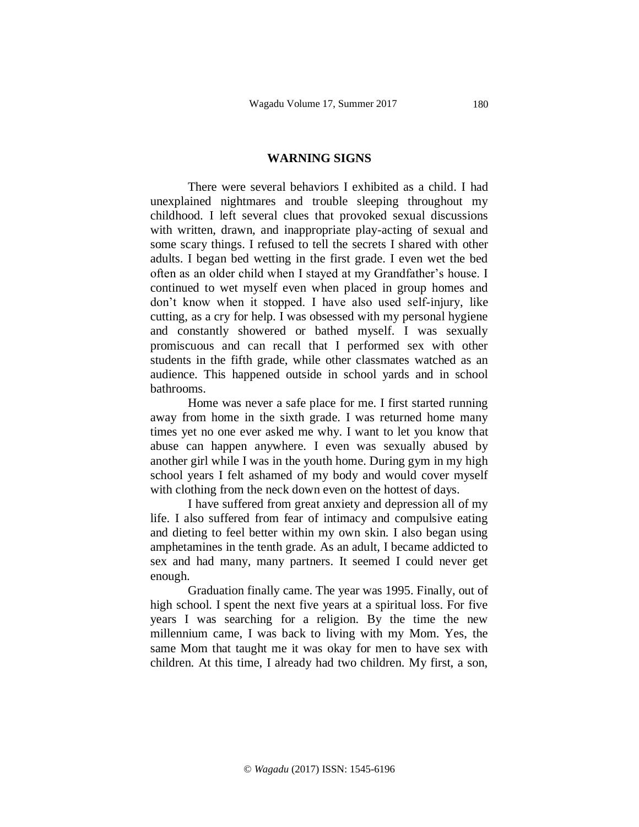#### **WARNING SIGNS**

There were several behaviors I exhibited as a child. I had unexplained nightmares and trouble sleeping throughout my childhood. I left several clues that provoked sexual discussions with written, drawn, and inappropriate play-acting of sexual and some scary things. I refused to tell the secrets I shared with other adults. I began bed wetting in the first grade. I even wet the bed often as an older child when I stayed at my Grandfather's house. I continued to wet myself even when placed in group homes and don't know when it stopped. I have also used self-injury, like cutting, as a cry for help. I was obsessed with my personal hygiene and constantly showered or bathed myself. I was sexually promiscuous and can recall that I performed sex with other students in the fifth grade, while other classmates watched as an audience. This happened outside in school yards and in school bathrooms.

Home was never a safe place for me. I first started running away from home in the sixth grade. I was returned home many times yet no one ever asked me why. I want to let you know that abuse can happen anywhere. I even was sexually abused by another girl while I was in the youth home. During gym in my high school years I felt ashamed of my body and would cover myself with clothing from the neck down even on the hottest of days.

I have suffered from great anxiety and depression all of my life. I also suffered from fear of intimacy and compulsive eating and dieting to feel better within my own skin. I also began using amphetamines in the tenth grade. As an adult, I became addicted to sex and had many, many partners. It seemed I could never get enough.

Graduation finally came. The year was 1995. Finally, out of high school. I spent the next five years at a spiritual loss. For five years I was searching for a religion. By the time the new millennium came, I was back to living with my Mom. Yes, the same Mom that taught me it was okay for men to have sex with children. At this time, I already had two children. My first, a son,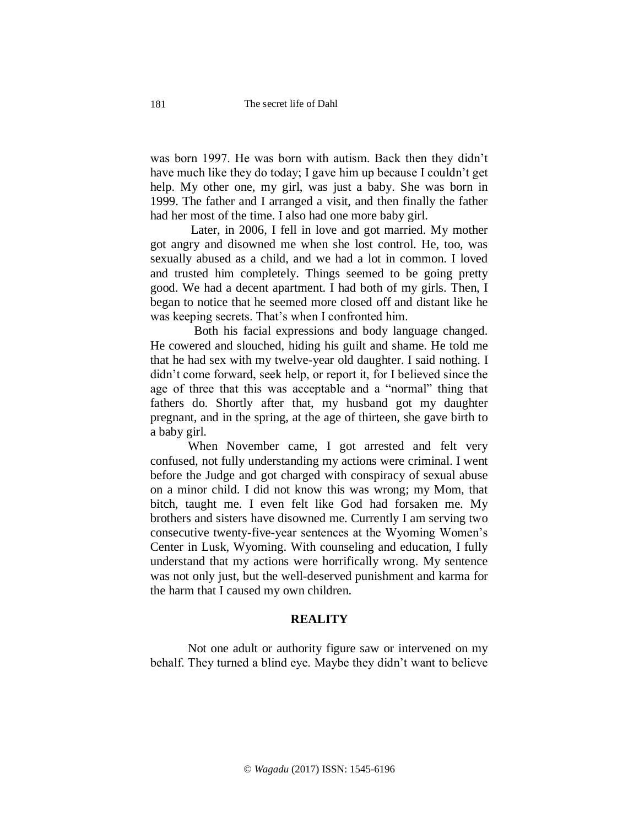was born 1997. He was born with autism. Back then they didn't have much like they do today; I gave him up because I couldn't get help. My other one, my girl, was just a baby. She was born in 1999. The father and I arranged a visit, and then finally the father had her most of the time. I also had one more baby girl.

Later, in 2006, I fell in love and got married. My mother got angry and disowned me when she lost control. He, too, was sexually abused as a child, and we had a lot in common. I loved and trusted him completely. Things seemed to be going pretty good. We had a decent apartment. I had both of my girls. Then, I began to notice that he seemed more closed off and distant like he was keeping secrets. That's when I confronted him.

 Both his facial expressions and body language changed. He cowered and slouched, hiding his guilt and shame. He told me that he had sex with my twelve-year old daughter. I said nothing. I didn't come forward, seek help, or report it, for I believed since the age of three that this was acceptable and a "normal" thing that fathers do. Shortly after that, my husband got my daughter pregnant, and in the spring, at the age of thirteen, she gave birth to a baby girl.

When November came, I got arrested and felt very confused, not fully understanding my actions were criminal. I went before the Judge and got charged with conspiracy of sexual abuse on a minor child. I did not know this was wrong; my Mom, that bitch, taught me. I even felt like God had forsaken me. My brothers and sisters have disowned me. Currently I am serving two consecutive twenty-five-year sentences at the Wyoming Women's Center in Lusk, Wyoming. With counseling and education, I fully understand that my actions were horrifically wrong. My sentence was not only just, but the well-deserved punishment and karma for the harm that I caused my own children.

## **REALITY**

Not one adult or authority figure saw or intervened on my behalf. They turned a blind eye. Maybe they didn't want to believe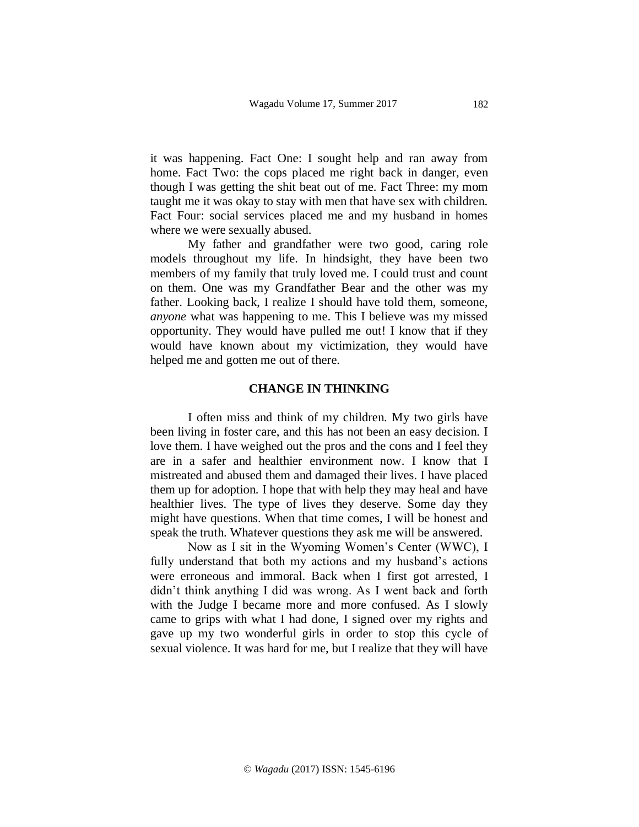it was happening. Fact One: I sought help and ran away from home. Fact Two: the cops placed me right back in danger, even though I was getting the shit beat out of me. Fact Three: my mom taught me it was okay to stay with men that have sex with children. Fact Four: social services placed me and my husband in homes where we were sexually abused.

My father and grandfather were two good, caring role models throughout my life. In hindsight, they have been two members of my family that truly loved me. I could trust and count on them. One was my Grandfather Bear and the other was my father. Looking back, I realize I should have told them, someone, *anyone* what was happening to me. This I believe was my missed opportunity. They would have pulled me out! I know that if they would have known about my victimization, they would have helped me and gotten me out of there.

### **CHANGE IN THINKING**

I often miss and think of my children. My two girls have been living in foster care, and this has not been an easy decision. I love them. I have weighed out the pros and the cons and I feel they are in a safer and healthier environment now. I know that I mistreated and abused them and damaged their lives. I have placed them up for adoption. I hope that with help they may heal and have healthier lives. The type of lives they deserve. Some day they might have questions. When that time comes, I will be honest and speak the truth. Whatever questions they ask me will be answered.

Now as I sit in the Wyoming Women's Center (WWC), I fully understand that both my actions and my husband's actions were erroneous and immoral. Back when I first got arrested, I didn't think anything I did was wrong. As I went back and forth with the Judge I became more and more confused. As I slowly came to grips with what I had done, I signed over my rights and gave up my two wonderful girls in order to stop this cycle of sexual violence. It was hard for me, but I realize that they will have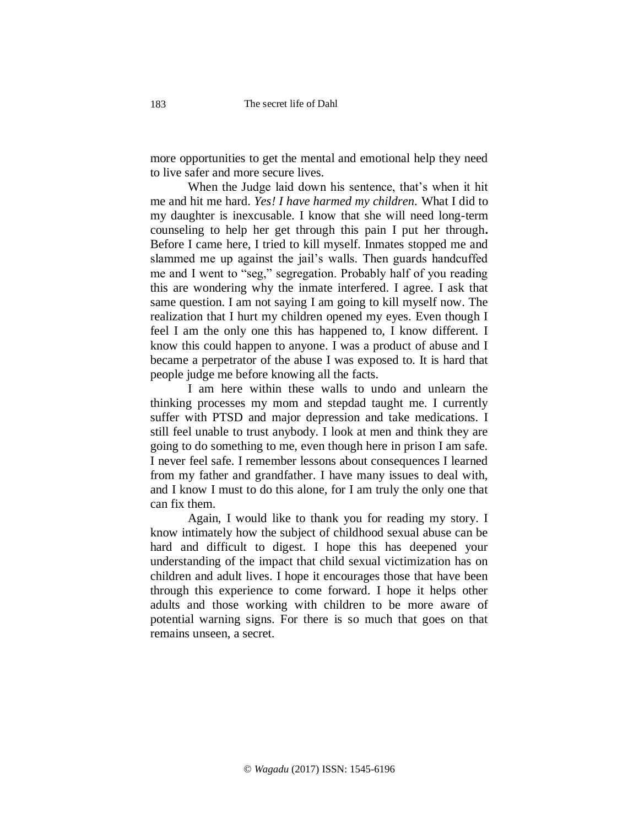more opportunities to get the mental and emotional help they need to live safer and more secure lives.

When the Judge laid down his sentence, that's when it hit me and hit me hard. *Yes! I have harmed my children.* What I did to my daughter is inexcusable. I know that she will need long-term counseling to help her get through this pain I put her through**.** Before I came here, I tried to kill myself. Inmates stopped me and slammed me up against the jail's walls. Then guards handcuffed me and I went to "seg," segregation. Probably half of you reading this are wondering why the inmate interfered. I agree. I ask that same question. I am not saying I am going to kill myself now. The realization that I hurt my children opened my eyes. Even though I feel I am the only one this has happened to, I know different. I know this could happen to anyone. I was a product of abuse and I became a perpetrator of the abuse I was exposed to. It is hard that people judge me before knowing all the facts.

I am here within these walls to undo and unlearn the thinking processes my mom and stepdad taught me. I currently suffer with PTSD and major depression and take medications. I still feel unable to trust anybody. I look at men and think they are going to do something to me, even though here in prison I am safe. I never feel safe. I remember lessons about consequences I learned from my father and grandfather. I have many issues to deal with, and I know I must to do this alone, for I am truly the only one that can fix them.

Again, I would like to thank you for reading my story. I know intimately how the subject of childhood sexual abuse can be hard and difficult to digest. I hope this has deepened your understanding of the impact that child sexual victimization has on children and adult lives. I hope it encourages those that have been through this experience to come forward. I hope it helps other adults and those working with children to be more aware of potential warning signs. For there is so much that goes on that remains unseen, a secret.